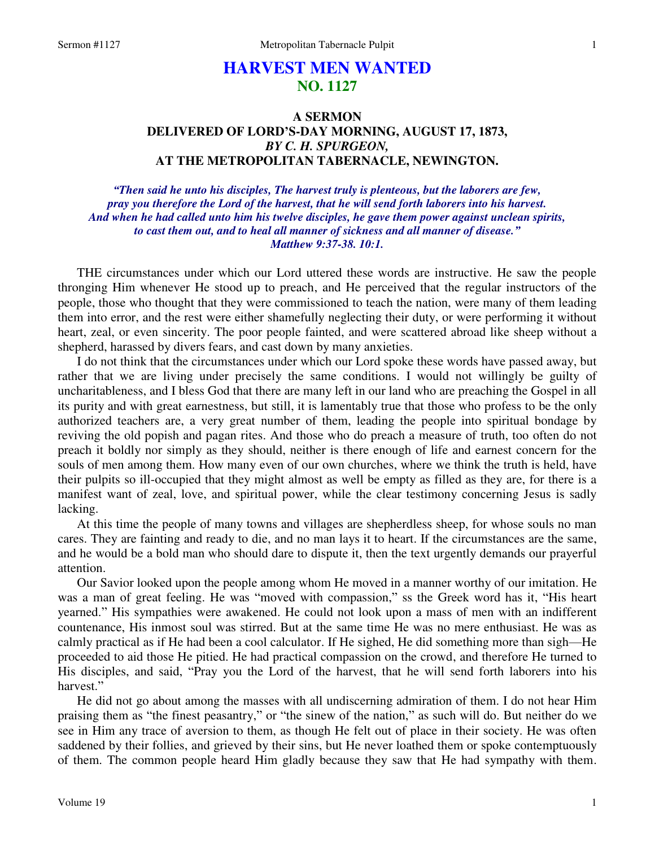# **HARVEST MEN WANTED NO. 1127**

## **A SERMON DELIVERED OF LORD'S-DAY MORNING, AUGUST 17, 1873,**  *BY C. H. SPURGEON,*  **AT THE METROPOLITAN TABERNACLE, NEWINGTON.**

*"Then said he unto his disciples, The harvest truly is plenteous, but the laborers are few, pray you therefore the Lord of the harvest, that he will send forth laborers into his harvest. And when he had called unto him his twelve disciples, he gave them power against unclean spirits, to cast them out, and to heal all manner of sickness and all manner of disease." Matthew 9:37-38. 10:1.* 

THE circumstances under which our Lord uttered these words are instructive. He saw the people thronging Him whenever He stood up to preach, and He perceived that the regular instructors of the people, those who thought that they were commissioned to teach the nation, were many of them leading them into error, and the rest were either shamefully neglecting their duty, or were performing it without heart, zeal, or even sincerity. The poor people fainted, and were scattered abroad like sheep without a shepherd, harassed by divers fears, and cast down by many anxieties.

I do not think that the circumstances under which our Lord spoke these words have passed away, but rather that we are living under precisely the same conditions. I would not willingly be guilty of uncharitableness, and I bless God that there are many left in our land who are preaching the Gospel in all its purity and with great earnestness, but still, it is lamentably true that those who profess to be the only authorized teachers are, a very great number of them, leading the people into spiritual bondage by reviving the old popish and pagan rites. And those who do preach a measure of truth, too often do not preach it boldly nor simply as they should, neither is there enough of life and earnest concern for the souls of men among them. How many even of our own churches, where we think the truth is held, have their pulpits so ill-occupied that they might almost as well be empty as filled as they are, for there is a manifest want of zeal, love, and spiritual power, while the clear testimony concerning Jesus is sadly lacking.

At this time the people of many towns and villages are shepherdless sheep, for whose souls no man cares. They are fainting and ready to die, and no man lays it to heart. If the circumstances are the same, and he would be a bold man who should dare to dispute it, then the text urgently demands our prayerful attention.

Our Savior looked upon the people among whom He moved in a manner worthy of our imitation. He was a man of great feeling. He was "moved with compassion," ss the Greek word has it, "His heart yearned." His sympathies were awakened. He could not look upon a mass of men with an indifferent countenance, His inmost soul was stirred. But at the same time He was no mere enthusiast. He was as calmly practical as if He had been a cool calculator. If He sighed, He did something more than sigh—He proceeded to aid those He pitied. He had practical compassion on the crowd, and therefore He turned to His disciples, and said, "Pray you the Lord of the harvest, that he will send forth laborers into his harvest."

He did not go about among the masses with all undiscerning admiration of them. I do not hear Him praising them as "the finest peasantry," or "the sinew of the nation," as such will do. But neither do we see in Him any trace of aversion to them, as though He felt out of place in their society. He was often saddened by their follies, and grieved by their sins, but He never loathed them or spoke contemptuously of them. The common people heard Him gladly because they saw that He had sympathy with them.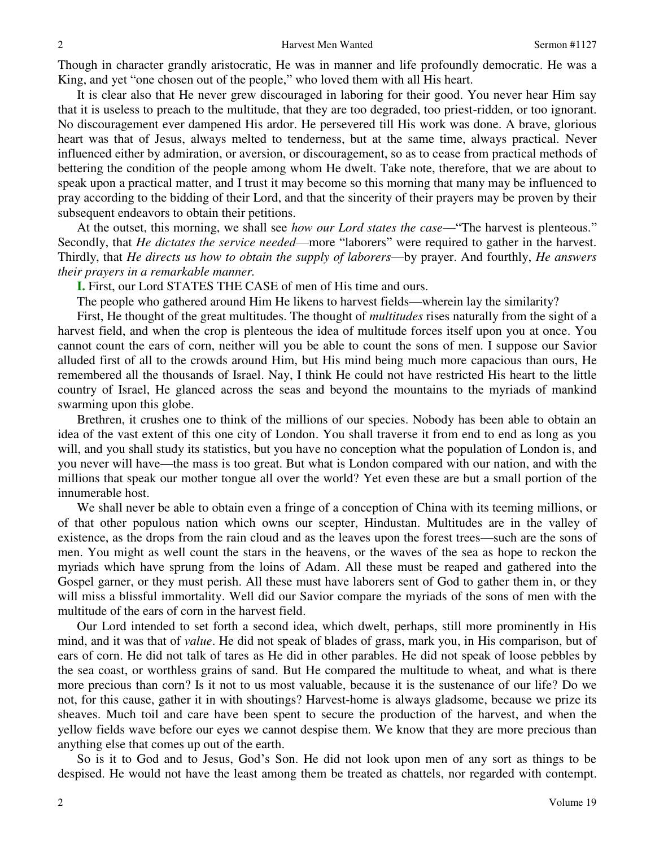Though in character grandly aristocratic, He was in manner and life profoundly democratic. He was a King, and yet "one chosen out of the people," who loved them with all His heart.

It is clear also that He never grew discouraged in laboring for their good. You never hear Him say that it is useless to preach to the multitude, that they are too degraded, too priest-ridden, or too ignorant. No discouragement ever dampened His ardor. He persevered till His work was done. A brave, glorious heart was that of Jesus, always melted to tenderness, but at the same time, always practical. Never influenced either by admiration, or aversion, or discouragement, so as to cease from practical methods of bettering the condition of the people among whom He dwelt. Take note, therefore, that we are about to speak upon a practical matter, and I trust it may become so this morning that many may be influenced to pray according to the bidding of their Lord, and that the sincerity of their prayers may be proven by their subsequent endeavors to obtain their petitions.

At the outset, this morning, we shall see *how our Lord states the case*—"The harvest is plenteous." Secondly, that *He dictates the service needed*—more "laborers" were required to gather in the harvest. Thirdly, that *He directs us how to obtain the supply of laborers*—by prayer. And fourthly, *He answers their prayers in a remarkable manner.*

**I.** First, our Lord STATES THE CASE of men of His time and ours.

The people who gathered around Him He likens to harvest fields—wherein lay the similarity?

First, He thought of the great multitudes. The thought of *multitudes* rises naturally from the sight of a harvest field, and when the crop is plenteous the idea of multitude forces itself upon you at once. You cannot count the ears of corn, neither will you be able to count the sons of men. I suppose our Savior alluded first of all to the crowds around Him, but His mind being much more capacious than ours, He remembered all the thousands of Israel. Nay, I think He could not have restricted His heart to the little country of Israel, He glanced across the seas and beyond the mountains to the myriads of mankind swarming upon this globe.

Brethren, it crushes one to think of the millions of our species. Nobody has been able to obtain an idea of the vast extent of this one city of London. You shall traverse it from end to end as long as you will, and you shall study its statistics, but you have no conception what the population of London is, and you never will have—the mass is too great. But what is London compared with our nation, and with the millions that speak our mother tongue all over the world? Yet even these are but a small portion of the innumerable host.

We shall never be able to obtain even a fringe of a conception of China with its teeming millions, or of that other populous nation which owns our scepter, Hindustan. Multitudes are in the valley of existence, as the drops from the rain cloud and as the leaves upon the forest trees—such are the sons of men. You might as well count the stars in the heavens, or the waves of the sea as hope to reckon the myriads which have sprung from the loins of Adam. All these must be reaped and gathered into the Gospel garner, or they must perish. All these must have laborers sent of God to gather them in, or they will miss a blissful immortality. Well did our Savior compare the myriads of the sons of men with the multitude of the ears of corn in the harvest field.

Our Lord intended to set forth a second idea, which dwelt, perhaps, still more prominently in His mind, and it was that of *value*. He did not speak of blades of grass, mark you, in His comparison, but of ears of corn. He did not talk of tares as He did in other parables. He did not speak of loose pebbles by the sea coast, or worthless grains of sand. But He compared the multitude to wheat*,* and what is there more precious than corn? Is it not to us most valuable, because it is the sustenance of our life? Do we not, for this cause, gather it in with shoutings? Harvest-home is always gladsome, because we prize its sheaves. Much toil and care have been spent to secure the production of the harvest, and when the yellow fields wave before our eyes we cannot despise them. We know that they are more precious than anything else that comes up out of the earth.

So is it to God and to Jesus, God's Son. He did not look upon men of any sort as things to be despised. He would not have the least among them be treated as chattels, nor regarded with contempt.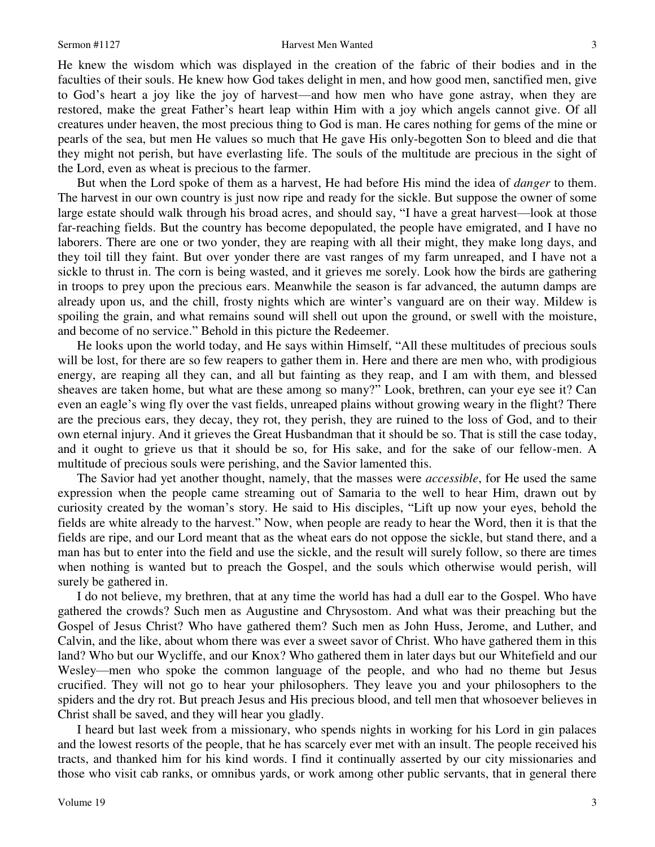### Sermon #1127 Harvest Men Wanted

He knew the wisdom which was displayed in the creation of the fabric of their bodies and in the faculties of their souls. He knew how God takes delight in men, and how good men, sanctified men, give to God's heart a joy like the joy of harvest—and how men who have gone astray, when they are restored, make the great Father's heart leap within Him with a joy which angels cannot give. Of all creatures under heaven, the most precious thing to God is man. He cares nothing for gems of the mine or pearls of the sea, but men He values so much that He gave His only-begotten Son to bleed and die that they might not perish, but have everlasting life. The souls of the multitude are precious in the sight of the Lord, even as wheat is precious to the farmer.

But when the Lord spoke of them as a harvest, He had before His mind the idea of *danger* to them. The harvest in our own country is just now ripe and ready for the sickle. But suppose the owner of some large estate should walk through his broad acres, and should say, "I have a great harvest—look at those far-reaching fields. But the country has become depopulated, the people have emigrated, and I have no laborers. There are one or two yonder, they are reaping with all their might, they make long days, and they toil till they faint. But over yonder there are vast ranges of my farm unreaped, and I have not a sickle to thrust in. The corn is being wasted, and it grieves me sorely. Look how the birds are gathering in troops to prey upon the precious ears. Meanwhile the season is far advanced, the autumn damps are already upon us, and the chill, frosty nights which are winter's vanguard are on their way. Mildew is spoiling the grain, and what remains sound will shell out upon the ground, or swell with the moisture, and become of no service." Behold in this picture the Redeemer.

He looks upon the world today, and He says within Himself, "All these multitudes of precious souls will be lost, for there are so few reapers to gather them in. Here and there are men who, with prodigious energy, are reaping all they can, and all but fainting as they reap, and I am with them, and blessed sheaves are taken home, but what are these among so many?" Look, brethren, can your eye see it? Can even an eagle's wing fly over the vast fields, unreaped plains without growing weary in the flight? There are the precious ears, they decay, they rot, they perish, they are ruined to the loss of God, and to their own eternal injury. And it grieves the Great Husbandman that it should be so. That is still the case today, and it ought to grieve us that it should be so, for His sake, and for the sake of our fellow-men. A multitude of precious souls were perishing, and the Savior lamented this.

The Savior had yet another thought, namely, that the masses were *accessible*, for He used the same expression when the people came streaming out of Samaria to the well to hear Him, drawn out by curiosity created by the woman's story. He said to His disciples, "Lift up now your eyes, behold the fields are white already to the harvest." Now, when people are ready to hear the Word, then it is that the fields are ripe, and our Lord meant that as the wheat ears do not oppose the sickle, but stand there, and a man has but to enter into the field and use the sickle, and the result will surely follow, so there are times when nothing is wanted but to preach the Gospel, and the souls which otherwise would perish, will surely be gathered in.

I do not believe, my brethren, that at any time the world has had a dull ear to the Gospel. Who have gathered the crowds? Such men as Augustine and Chrysostom. And what was their preaching but the Gospel of Jesus Christ? Who have gathered them? Such men as John Huss, Jerome, and Luther, and Calvin, and the like, about whom there was ever a sweet savor of Christ. Who have gathered them in this land? Who but our Wycliffe, and our Knox? Who gathered them in later days but our Whitefield and our Wesley—men who spoke the common language of the people, and who had no theme but Jesus crucified. They will not go to hear your philosophers. They leave you and your philosophers to the spiders and the dry rot. But preach Jesus and His precious blood, and tell men that whosoever believes in Christ shall be saved, and they will hear you gladly.

I heard but last week from a missionary, who spends nights in working for his Lord in gin palaces and the lowest resorts of the people, that he has scarcely ever met with an insult. The people received his tracts, and thanked him for his kind words. I find it continually asserted by our city missionaries and those who visit cab ranks, or omnibus yards, or work among other public servants, that in general there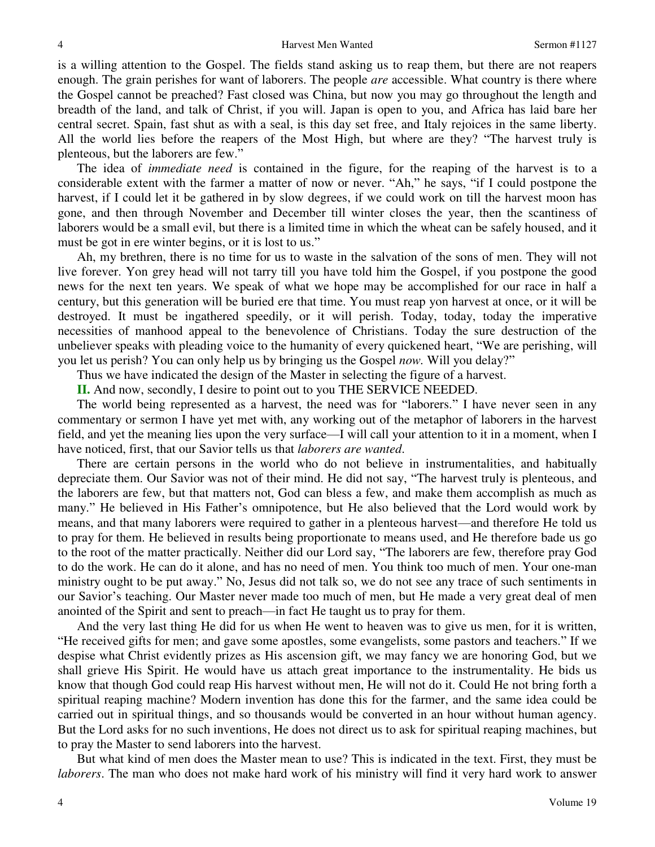is a willing attention to the Gospel. The fields stand asking us to reap them, but there are not reapers enough. The grain perishes for want of laborers. The people *are* accessible. What country is there where the Gospel cannot be preached? Fast closed was China, but now you may go throughout the length and breadth of the land, and talk of Christ, if you will. Japan is open to you, and Africa has laid bare her central secret. Spain, fast shut as with a seal, is this day set free, and Italy rejoices in the same liberty. All the world lies before the reapers of the Most High, but where are they? "The harvest truly is plenteous, but the laborers are few."

The idea of *immediate need* is contained in the figure, for the reaping of the harvest is to a considerable extent with the farmer a matter of now or never. "Ah," he says, "if I could postpone the harvest, if I could let it be gathered in by slow degrees, if we could work on till the harvest moon has gone, and then through November and December till winter closes the year, then the scantiness of laborers would be a small evil, but there is a limited time in which the wheat can be safely housed, and it must be got in ere winter begins, or it is lost to us."

Ah, my brethren, there is no time for us to waste in the salvation of the sons of men. They will not live forever. Yon grey head will not tarry till you have told him the Gospel, if you postpone the good news for the next ten years. We speak of what we hope may be accomplished for our race in half a century, but this generation will be buried ere that time. You must reap yon harvest at once, or it will be destroyed. It must be ingathered speedily, or it will perish. Today, today, today the imperative necessities of manhood appeal to the benevolence of Christians. Today the sure destruction of the unbeliever speaks with pleading voice to the humanity of every quickened heart, "We are perishing, will you let us perish? You can only help us by bringing us the Gospel *now.* Will you delay?"

Thus we have indicated the design of the Master in selecting the figure of a harvest.

**II.** And now, secondly, I desire to point out to you THE SERVICE NEEDED.

The world being represented as a harvest, the need was for "laborers." I have never seen in any commentary or sermon I have yet met with, any working out of the metaphor of laborers in the harvest field, and yet the meaning lies upon the very surface—I will call your attention to it in a moment, when I have noticed, first, that our Savior tells us that *laborers are wanted*.

There are certain persons in the world who do not believe in instrumentalities, and habitually depreciate them. Our Savior was not of their mind. He did not say, "The harvest truly is plenteous, and the laborers are few, but that matters not, God can bless a few, and make them accomplish as much as many." He believed in His Father's omnipotence, but He also believed that the Lord would work by means, and that many laborers were required to gather in a plenteous harvest—and therefore He told us to pray for them. He believed in results being proportionate to means used, and He therefore bade us go to the root of the matter practically. Neither did our Lord say, "The laborers are few, therefore pray God to do the work. He can do it alone, and has no need of men. You think too much of men. Your one-man ministry ought to be put away." No, Jesus did not talk so, we do not see any trace of such sentiments in our Savior's teaching. Our Master never made too much of men, but He made a very great deal of men anointed of the Spirit and sent to preach—in fact He taught us to pray for them.

And the very last thing He did for us when He went to heaven was to give us men, for it is written, "He received gifts for men; and gave some apostles, some evangelists, some pastors and teachers." If we despise what Christ evidently prizes as His ascension gift, we may fancy we are honoring God, but we shall grieve His Spirit. He would have us attach great importance to the instrumentality. He bids us know that though God could reap His harvest without men, He will not do it. Could He not bring forth a spiritual reaping machine? Modern invention has done this for the farmer, and the same idea could be carried out in spiritual things, and so thousands would be converted in an hour without human agency. But the Lord asks for no such inventions, He does not direct us to ask for spiritual reaping machines, but to pray the Master to send laborers into the harvest.

But what kind of men does the Master mean to use? This is indicated in the text. First, they must be *laborers*. The man who does not make hard work of his ministry will find it very hard work to answer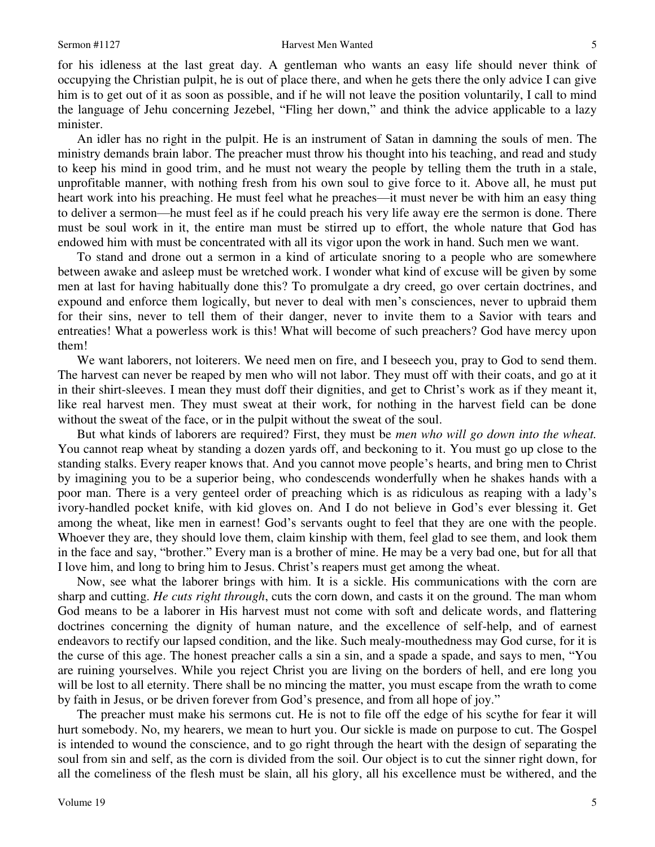5

for his idleness at the last great day. A gentleman who wants an easy life should never think of occupying the Christian pulpit, he is out of place there, and when he gets there the only advice I can give him is to get out of it as soon as possible, and if he will not leave the position voluntarily, I call to mind the language of Jehu concerning Jezebel, "Fling her down," and think the advice applicable to a lazy minister.

An idler has no right in the pulpit. He is an instrument of Satan in damning the souls of men. The ministry demands brain labor. The preacher must throw his thought into his teaching, and read and study to keep his mind in good trim, and he must not weary the people by telling them the truth in a stale, unprofitable manner, with nothing fresh from his own soul to give force to it. Above all, he must put heart work into his preaching. He must feel what he preaches—it must never be with him an easy thing to deliver a sermon—he must feel as if he could preach his very life away ere the sermon is done. There must be soul work in it, the entire man must be stirred up to effort, the whole nature that God has endowed him with must be concentrated with all its vigor upon the work in hand. Such men we want.

To stand and drone out a sermon in a kind of articulate snoring to a people who are somewhere between awake and asleep must be wretched work. I wonder what kind of excuse will be given by some men at last for having habitually done this? To promulgate a dry creed, go over certain doctrines, and expound and enforce them logically, but never to deal with men's consciences, never to upbraid them for their sins, never to tell them of their danger, never to invite them to a Savior with tears and entreaties! What a powerless work is this! What will become of such preachers? God have mercy upon them!

We want laborers, not loiterers. We need men on fire, and I beseech you, pray to God to send them. The harvest can never be reaped by men who will not labor. They must off with their coats, and go at it in their shirt-sleeves. I mean they must doff their dignities, and get to Christ's work as if they meant it, like real harvest men. They must sweat at their work, for nothing in the harvest field can be done without the sweat of the face, or in the pulpit without the sweat of the soul.

But what kinds of laborers are required? First, they must be *men who will go down into the wheat.* You cannot reap wheat by standing a dozen yards off, and beckoning to it. You must go up close to the standing stalks. Every reaper knows that. And you cannot move people's hearts, and bring men to Christ by imagining you to be a superior being, who condescends wonderfully when he shakes hands with a poor man. There is a very genteel order of preaching which is as ridiculous as reaping with a lady's ivory-handled pocket knife, with kid gloves on. And I do not believe in God's ever blessing it. Get among the wheat, like men in earnest! God's servants ought to feel that they are one with the people. Whoever they are, they should love them, claim kinship with them, feel glad to see them, and look them in the face and say, "brother." Every man is a brother of mine. He may be a very bad one, but for all that I love him, and long to bring him to Jesus. Christ's reapers must get among the wheat.

Now, see what the laborer brings with him. It is a sickle. His communications with the corn are sharp and cutting. *He cuts right through*, cuts the corn down, and casts it on the ground. The man whom God means to be a laborer in His harvest must not come with soft and delicate words, and flattering doctrines concerning the dignity of human nature, and the excellence of self-help, and of earnest endeavors to rectify our lapsed condition, and the like. Such mealy-mouthedness may God curse, for it is the curse of this age. The honest preacher calls a sin a sin, and a spade a spade, and says to men, "You are ruining yourselves. While you reject Christ you are living on the borders of hell, and ere long you will be lost to all eternity. There shall be no mincing the matter, you must escape from the wrath to come by faith in Jesus, or be driven forever from God's presence, and from all hope of joy."

The preacher must make his sermons cut. He is not to file off the edge of his scythe for fear it will hurt somebody. No, my hearers, we mean to hurt you. Our sickle is made on purpose to cut. The Gospel is intended to wound the conscience, and to go right through the heart with the design of separating the soul from sin and self, as the corn is divided from the soil. Our object is to cut the sinner right down, for all the comeliness of the flesh must be slain, all his glory, all his excellence must be withered, and the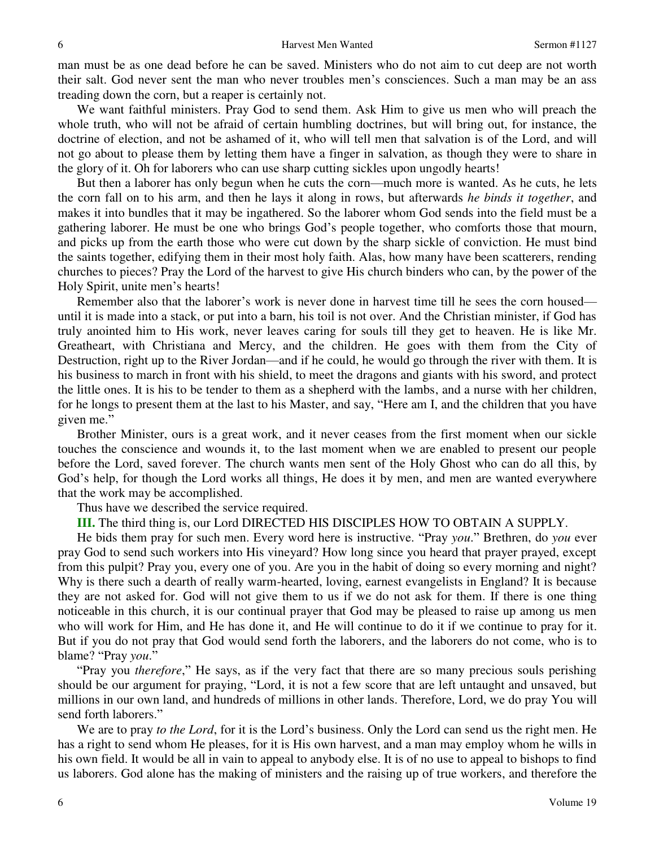man must be as one dead before he can be saved. Ministers who do not aim to cut deep are not worth their salt. God never sent the man who never troubles men's consciences. Such a man may be an ass treading down the corn, but a reaper is certainly not.

We want faithful ministers. Pray God to send them. Ask Him to give us men who will preach the whole truth, who will not be afraid of certain humbling doctrines, but will bring out, for instance, the doctrine of election, and not be ashamed of it, who will tell men that salvation is of the Lord, and will not go about to please them by letting them have a finger in salvation, as though they were to share in the glory of it. Oh for laborers who can use sharp cutting sickles upon ungodly hearts!

But then a laborer has only begun when he cuts the corn—much more is wanted. As he cuts, he lets the corn fall on to his arm, and then he lays it along in rows, but afterwards *he binds it together*, and makes it into bundles that it may be ingathered. So the laborer whom God sends into the field must be a gathering laborer. He must be one who brings God's people together, who comforts those that mourn, and picks up from the earth those who were cut down by the sharp sickle of conviction. He must bind the saints together, edifying them in their most holy faith. Alas, how many have been scatterers, rending churches to pieces? Pray the Lord of the harvest to give His church binders who can, by the power of the Holy Spirit, unite men's hearts!

Remember also that the laborer's work is never done in harvest time till he sees the corn housed until it is made into a stack, or put into a barn, his toil is not over. And the Christian minister, if God has truly anointed him to His work, never leaves caring for souls till they get to heaven. He is like Mr. Greatheart, with Christiana and Mercy, and the children. He goes with them from the City of Destruction, right up to the River Jordan—and if he could, he would go through the river with them. It is his business to march in front with his shield, to meet the dragons and giants with his sword, and protect the little ones. It is his to be tender to them as a shepherd with the lambs, and a nurse with her children, for he longs to present them at the last to his Master, and say, "Here am I, and the children that you have given me."

Brother Minister, ours is a great work, and it never ceases from the first moment when our sickle touches the conscience and wounds it, to the last moment when we are enabled to present our people before the Lord, saved forever. The church wants men sent of the Holy Ghost who can do all this, by God's help, for though the Lord works all things, He does it by men, and men are wanted everywhere that the work may be accomplished.

Thus have we described the service required.

**III.** The third thing is, our Lord DIRECTED HIS DISCIPLES HOW TO OBTAIN A SUPPLY.

He bids them pray for such men. Every word here is instructive. "Pray *you*." Brethren, do *you* ever pray God to send such workers into His vineyard? How long since you heard that prayer prayed, except from this pulpit? Pray you, every one of you. Are you in the habit of doing so every morning and night? Why is there such a dearth of really warm-hearted, loving, earnest evangelists in England? It is because they are not asked for. God will not give them to us if we do not ask for them. If there is one thing noticeable in this church, it is our continual prayer that God may be pleased to raise up among us men who will work for Him, and He has done it, and He will continue to do it if we continue to pray for it. But if you do not pray that God would send forth the laborers, and the laborers do not come, who is to blame? "Pray *you*."

"Pray you *therefore*," He says, as if the very fact that there are so many precious souls perishing should be our argument for praying, "Lord, it is not a few score that are left untaught and unsaved, but millions in our own land, and hundreds of millions in other lands. Therefore, Lord, we do pray You will send forth laborers."

We are to pray *to the Lord*, for it is the Lord's business. Only the Lord can send us the right men. He has a right to send whom He pleases, for it is His own harvest, and a man may employ whom he wills in his own field. It would be all in vain to appeal to anybody else. It is of no use to appeal to bishops to find us laborers. God alone has the making of ministers and the raising up of true workers, and therefore the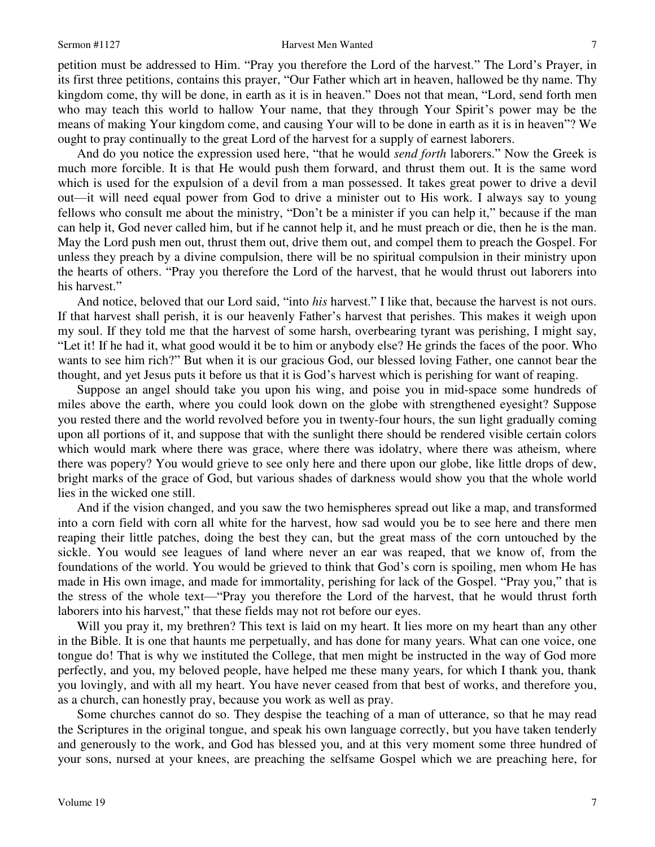### Sermon #1127 Harvest Men Wanted

petition must be addressed to Him. "Pray you therefore the Lord of the harvest." The Lord's Prayer, in its first three petitions, contains this prayer, "Our Father which art in heaven, hallowed be thy name. Thy kingdom come, thy will be done, in earth as it is in heaven." Does not that mean, "Lord, send forth men who may teach this world to hallow Your name, that they through Your Spirit's power may be the means of making Your kingdom come, and causing Your will to be done in earth as it is in heaven"? We ought to pray continually to the great Lord of the harvest for a supply of earnest laborers.

And do you notice the expression used here, "that he would *send forth* laborers." Now the Greek is much more forcible. It is that He would push them forward, and thrust them out. It is the same word which is used for the expulsion of a devil from a man possessed. It takes great power to drive a devil out—it will need equal power from God to drive a minister out to His work. I always say to young fellows who consult me about the ministry, "Don't be a minister if you can help it," because if the man can help it, God never called him, but if he cannot help it, and he must preach or die, then he is the man. May the Lord push men out, thrust them out, drive them out, and compel them to preach the Gospel. For unless they preach by a divine compulsion, there will be no spiritual compulsion in their ministry upon the hearts of others. "Pray you therefore the Lord of the harvest, that he would thrust out laborers into his harvest."

And notice, beloved that our Lord said, "into *his* harvest." I like that, because the harvest is not ours. If that harvest shall perish, it is our heavenly Father's harvest that perishes. This makes it weigh upon my soul. If they told me that the harvest of some harsh, overbearing tyrant was perishing, I might say, "Let it! If he had it, what good would it be to him or anybody else? He grinds the faces of the poor. Who wants to see him rich?" But when it is our gracious God, our blessed loving Father, one cannot bear the thought, and yet Jesus puts it before us that it is God's harvest which is perishing for want of reaping.

Suppose an angel should take you upon his wing, and poise you in mid-space some hundreds of miles above the earth, where you could look down on the globe with strengthened eyesight? Suppose you rested there and the world revolved before you in twenty-four hours, the sun light gradually coming upon all portions of it, and suppose that with the sunlight there should be rendered visible certain colors which would mark where there was grace, where there was idolatry, where there was atheism, where there was popery? You would grieve to see only here and there upon our globe, like little drops of dew, bright marks of the grace of God, but various shades of darkness would show you that the whole world lies in the wicked one still.

And if the vision changed, and you saw the two hemispheres spread out like a map, and transformed into a corn field with corn all white for the harvest, how sad would you be to see here and there men reaping their little patches, doing the best they can, but the great mass of the corn untouched by the sickle. You would see leagues of land where never an ear was reaped, that we know of, from the foundations of the world. You would be grieved to think that God's corn is spoiling, men whom He has made in His own image, and made for immortality, perishing for lack of the Gospel. "Pray you," that is the stress of the whole text—"Pray you therefore the Lord of the harvest, that he would thrust forth laborers into his harvest," that these fields may not rot before our eyes.

Will you pray it, my brethren? This text is laid on my heart. It lies more on my heart than any other in the Bible. It is one that haunts me perpetually, and has done for many years. What can one voice, one tongue do! That is why we instituted the College, that men might be instructed in the way of God more perfectly, and you, my beloved people, have helped me these many years, for which I thank you, thank you lovingly, and with all my heart. You have never ceased from that best of works, and therefore you, as a church, can honestly pray, because you work as well as pray.

Some churches cannot do so. They despise the teaching of a man of utterance, so that he may read the Scriptures in the original tongue, and speak his own language correctly, but you have taken tenderly and generously to the work, and God has blessed you, and at this very moment some three hundred of your sons, nursed at your knees, are preaching the selfsame Gospel which we are preaching here, for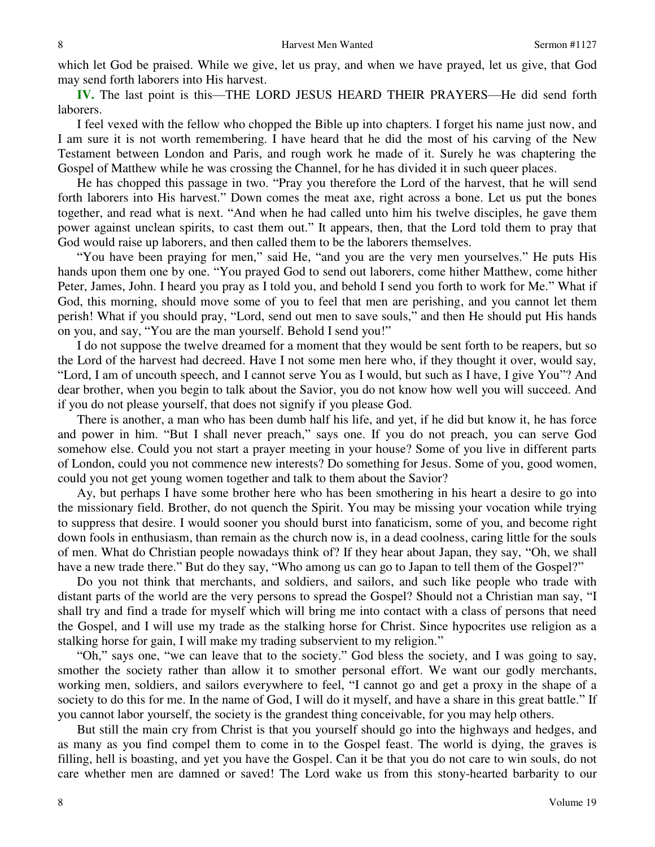which let God be praised. While we give, let us pray, and when we have prayed, let us give, that God may send forth laborers into His harvest.

**IV.** The last point is this—THE LORD JESUS HEARD THEIR PRAYERS—He did send forth laborers.

I feel vexed with the fellow who chopped the Bible up into chapters. I forget his name just now, and I am sure it is not worth remembering. I have heard that he did the most of his carving of the New Testament between London and Paris, and rough work he made of it. Surely he was chaptering the Gospel of Matthew while he was crossing the Channel, for he has divided it in such queer places.

He has chopped this passage in two. "Pray you therefore the Lord of the harvest, that he will send forth laborers into His harvest." Down comes the meat axe, right across a bone. Let us put the bones together, and read what is next. "And when he had called unto him his twelve disciples, he gave them power against unclean spirits, to cast them out." It appears, then, that the Lord told them to pray that God would raise up laborers, and then called them to be the laborers themselves.

"You have been praying for men," said He, "and you are the very men yourselves." He puts His hands upon them one by one. "You prayed God to send out laborers, come hither Matthew, come hither Peter, James, John. I heard you pray as I told you, and behold I send you forth to work for Me." What if God, this morning, should move some of you to feel that men are perishing, and you cannot let them perish! What if you should pray, "Lord, send out men to save souls," and then He should put His hands on you, and say, "You are the man yourself. Behold I send you!"

I do not suppose the twelve dreamed for a moment that they would be sent forth to be reapers, but so the Lord of the harvest had decreed. Have I not some men here who, if they thought it over, would say, "Lord, I am of uncouth speech, and I cannot serve You as I would, but such as I have, I give You"? And dear brother, when you begin to talk about the Savior, you do not know how well you will succeed. And if you do not please yourself, that does not signify if you please God.

There is another, a man who has been dumb half his life, and yet, if he did but know it, he has force and power in him. "But I shall never preach," says one. If you do not preach, you can serve God somehow else. Could you not start a prayer meeting in your house? Some of you live in different parts of London, could you not commence new interests? Do something for Jesus. Some of you, good women, could you not get young women together and talk to them about the Savior?

Ay, but perhaps I have some brother here who has been smothering in his heart a desire to go into the missionary field. Brother, do not quench the Spirit. You may be missing your vocation while trying to suppress that desire. I would sooner you should burst into fanaticism, some of you, and become right down fools in enthusiasm, than remain as the church now is, in a dead coolness, caring little for the souls of men. What do Christian people nowadays think of? If they hear about Japan, they say, "Oh, we shall have a new trade there." But do they say, "Who among us can go to Japan to tell them of the Gospel?"

Do you not think that merchants, and soldiers, and sailors, and such like people who trade with distant parts of the world are the very persons to spread the Gospel? Should not a Christian man say, "I shall try and find a trade for myself which will bring me into contact with a class of persons that need the Gospel, and I will use my trade as the stalking horse for Christ. Since hypocrites use religion as a stalking horse for gain, I will make my trading subservient to my religion."

"Oh," says one, "we can leave that to the society." God bless the society, and I was going to say, smother the society rather than allow it to smother personal effort. We want our godly merchants, working men, soldiers, and sailors everywhere to feel, "I cannot go and get a proxy in the shape of a society to do this for me. In the name of God, I will do it myself, and have a share in this great battle." If you cannot labor yourself, the society is the grandest thing conceivable, for you may help others.

But still the main cry from Christ is that you yourself should go into the highways and hedges, and as many as you find compel them to come in to the Gospel feast. The world is dying, the graves is filling, hell is boasting, and yet you have the Gospel. Can it be that you do not care to win souls, do not care whether men are damned or saved! The Lord wake us from this stony-hearted barbarity to our